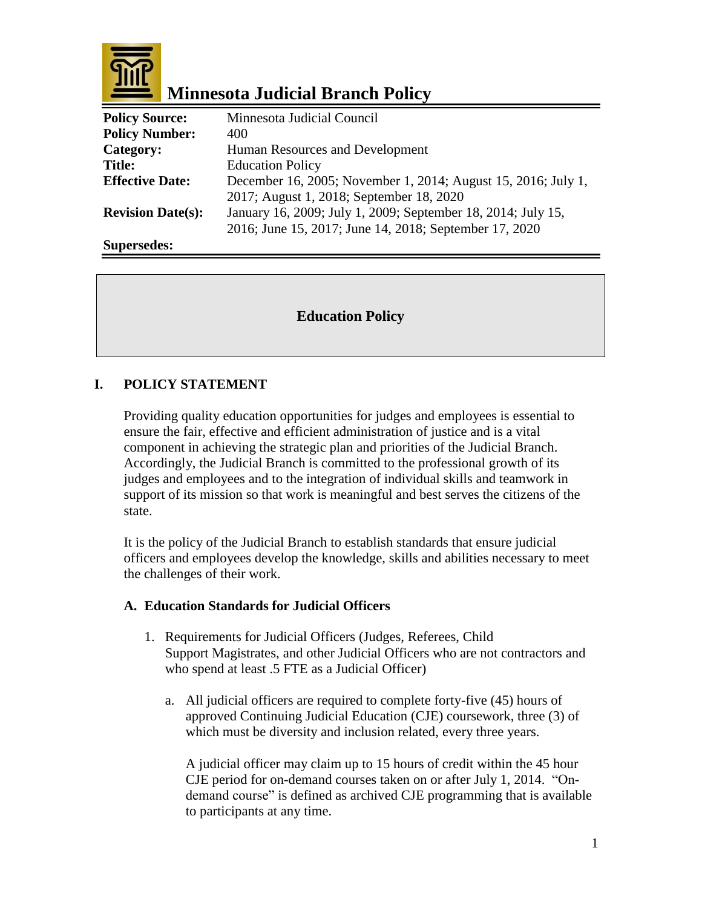

# **Minnesota Judicial Branch Policy**

| <b>Policy Source:</b>    | Minnesota Judicial Council                                    |
|--------------------------|---------------------------------------------------------------|
| <b>Policy Number:</b>    | 400                                                           |
| Category:                | Human Resources and Development                               |
| <b>Title:</b>            | <b>Education Policy</b>                                       |
| <b>Effective Date:</b>   | December 16, 2005; November 1, 2014; August 15, 2016; July 1, |
|                          | 2017; August 1, 2018; September 18, 2020                      |
| <b>Revision Date(s):</b> | January 16, 2009; July 1, 2009; September 18, 2014; July 15,  |
|                          | 2016; June 15, 2017; June 14, 2018; September 17, 2020        |
| Supersedes:              |                                                               |

# **Education Policy**

# **I. POLICY STATEMENT**

Providing quality education opportunities for judges and employees is essential to ensure the fair, effective and efficient administration of justice and is a vital component in achieving the strategic plan and priorities of the Judicial Branch. Accordingly, the Judicial Branch is committed to the professional growth of its judges and employees and to the integration of individual skills and teamwork in support of its mission so that work is meaningful and best serves the citizens of the state.

It is the policy of the Judicial Branch to establish standards that ensure judicial officers and employees develop the knowledge, skills and abilities necessary to meet the challenges of their work.

### **A. Education Standards for Judicial Officers**

- 1. Requirements for Judicial Officers (Judges, Referees, Child Support Magistrates, and other Judicial Officers who are not contractors and who spend at least .5 FTE as a Judicial Officer)
	- a. All judicial officers are required to complete forty-five (45) hours of approved Continuing Judicial Education (CJE) coursework, three (3) of which must be diversity and inclusion related, every three years.

A judicial officer may claim up to 15 hours of credit within the 45 hour CJE period for on-demand courses taken on or after July 1, 2014. "Ondemand course" is defined as archived CJE programming that is available to participants at any time.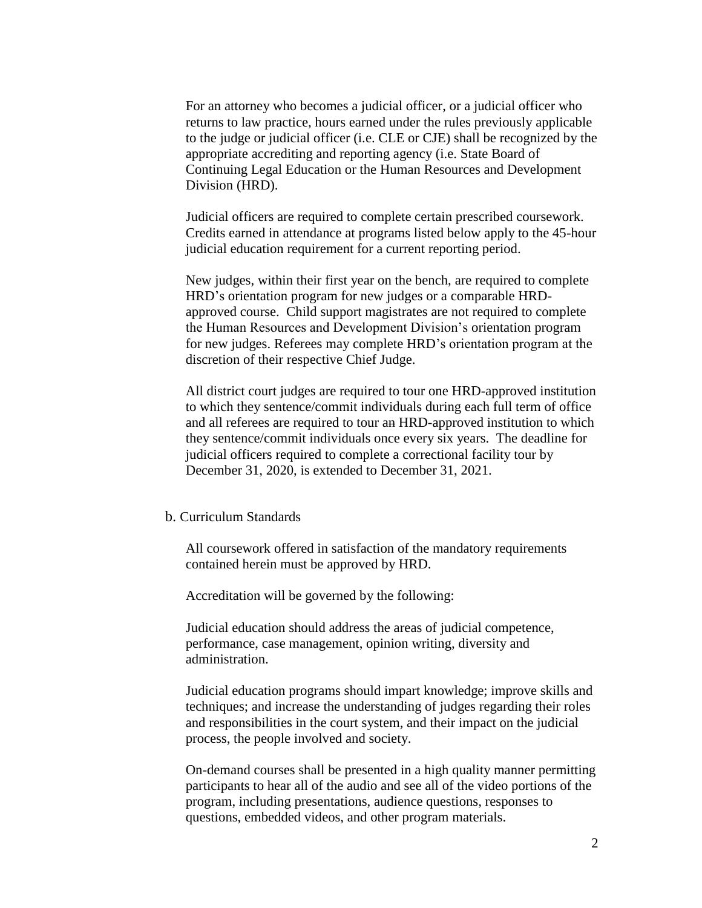For an attorney who becomes a judicial officer, or a judicial officer who returns to law practice, hours earned under the rules previously applicable to the judge or judicial officer (i.e. CLE or CJE) shall be recognized by the appropriate accrediting and reporting agency (i.e. State Board of Continuing Legal Education or the Human Resources and Development Division (HRD).

Judicial officers are required to complete certain prescribed coursework. Credits earned in attendance at programs listed below apply to the 45-hour judicial education requirement for a current reporting period.

New judges, within their first year on the bench, are required to complete HRD's orientation program for new judges or a comparable HRDapproved course. Child support magistrates are not required to complete the Human Resources and Development Division's orientation program for new judges. Referees may complete HRD's orientation program at the discretion of their respective Chief Judge.

All district court judges are required to tour one HRD-approved institution to which they sentence/commit individuals during each full term of office and all referees are required to tour an HRD-approved institution to which they sentence/commit individuals once every six years. The deadline for judicial officers required to complete a correctional facility tour by December 31, 2020, is extended to December 31, 2021.

#### b. Curriculum Standards

All coursework offered in satisfaction of the mandatory requirements contained herein must be approved by HRD.

Accreditation will be governed by the following:

Judicial education should address the areas of judicial competence, performance, case management, opinion writing, diversity and administration.

Judicial education programs should impart knowledge; improve skills and techniques; and increase the understanding of judges regarding their roles and responsibilities in the court system, and their impact on the judicial process, the people involved and society.

On-demand courses shall be presented in a high quality manner permitting participants to hear all of the audio and see all of the video portions of the program, including presentations, audience questions, responses to questions, embedded videos, and other program materials.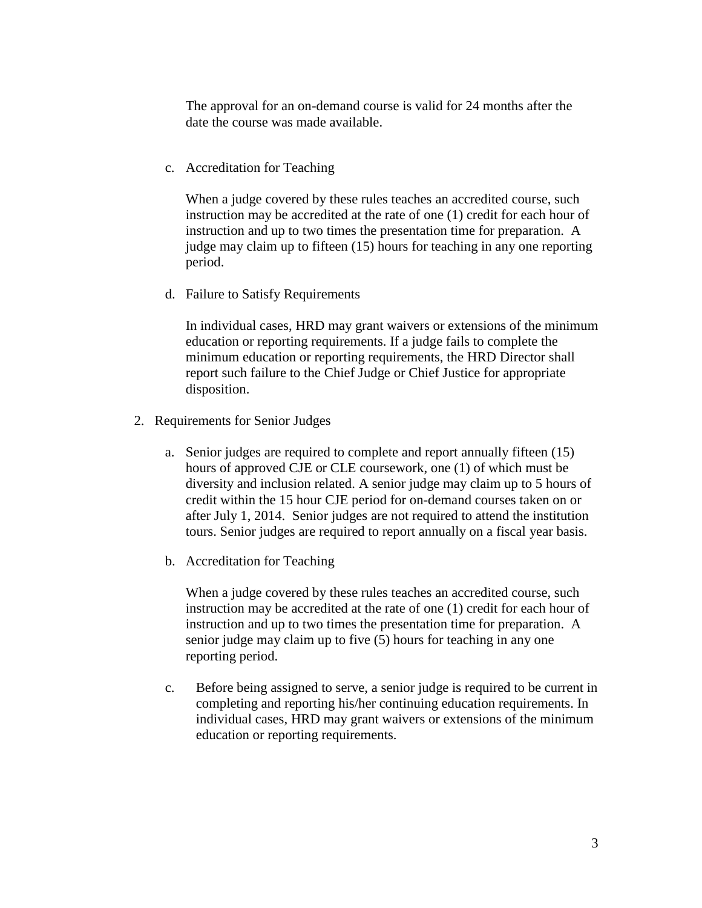The approval for an on-demand course is valid for 24 months after the date the course was made available.

c. Accreditation for Teaching

When a judge covered by these rules teaches an accredited course, such instruction may be accredited at the rate of one (1) credit for each hour of instruction and up to two times the presentation time for preparation. A judge may claim up to fifteen (15) hours for teaching in any one reporting period.

d. Failure to Satisfy Requirements

In individual cases, HRD may grant waivers or extensions of the minimum education or reporting requirements. If a judge fails to complete the minimum education or reporting requirements, the HRD Director shall report such failure to the Chief Judge or Chief Justice for appropriate disposition.

- 2. Requirements for Senior Judges
	- a. Senior judges are required to complete and report annually fifteen (15) hours of approved CJE or CLE coursework, one (1) of which must be diversity and inclusion related. A senior judge may claim up to 5 hours of credit within the 15 hour CJE period for on-demand courses taken on or after July 1, 2014. Senior judges are not required to attend the institution tours. Senior judges are required to report annually on a fiscal year basis.
	- b. Accreditation for Teaching

When a judge covered by these rules teaches an accredited course, such instruction may be accredited at the rate of one (1) credit for each hour of instruction and up to two times the presentation time for preparation. A senior judge may claim up to five (5) hours for teaching in any one reporting period.

c. Before being assigned to serve, a senior judge is required to be current in completing and reporting his/her continuing education requirements. In individual cases, HRD may grant waivers or extensions of the minimum education or reporting requirements.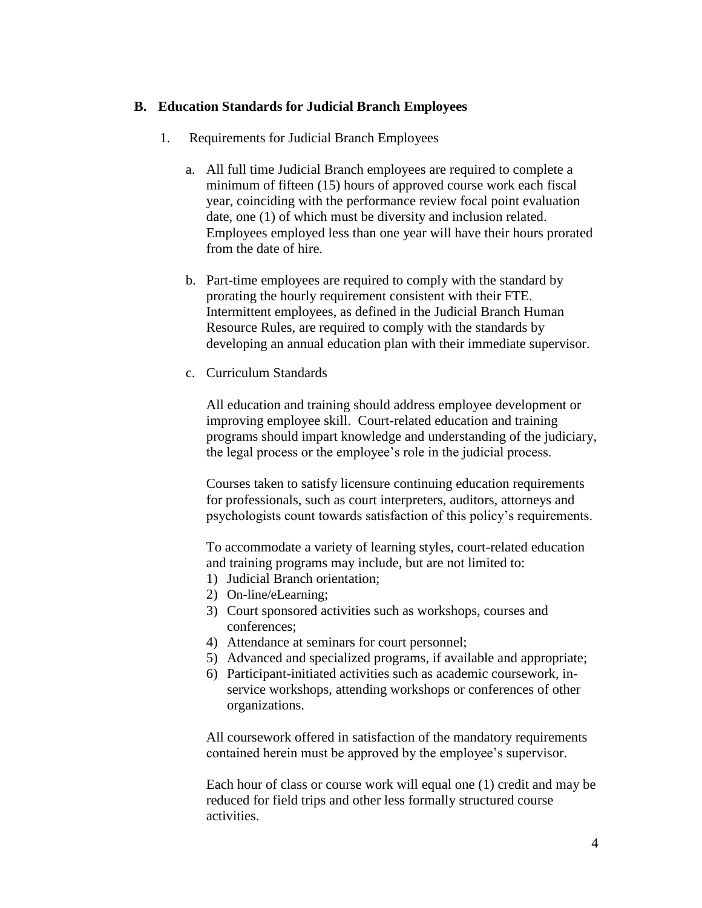### **B. Education Standards for Judicial Branch Employees**

- 1. Requirements for Judicial Branch Employees
	- a. All full time Judicial Branch employees are required to complete a minimum of fifteen (15) hours of approved course work each fiscal year, coinciding with the performance review focal point evaluation date, one (1) of which must be diversity and inclusion related. Employees employed less than one year will have their hours prorated from the date of hire.
	- b. Part-time employees are required to comply with the standard by prorating the hourly requirement consistent with their FTE. Intermittent employees, as defined in the Judicial Branch Human Resource Rules, are required to comply with the standards by developing an annual education plan with their immediate supervisor.
	- c. Curriculum Standards

All education and training should address employee development or improving employee skill. Court-related education and training programs should impart knowledge and understanding of the judiciary, the legal process or the employee's role in the judicial process.

Courses taken to satisfy licensure continuing education requirements for professionals, such as court interpreters, auditors, attorneys and psychologists count towards satisfaction of this policy's requirements.

To accommodate a variety of learning styles, court-related education and training programs may include, but are not limited to:

- 1) Judicial Branch orientation;
- 2) On-line/eLearning;
- 3) Court sponsored activities such as workshops, courses and conferences;
- 4) Attendance at seminars for court personnel;
- 5) Advanced and specialized programs, if available and appropriate;
- 6) Participant-initiated activities such as academic coursework, inservice workshops, attending workshops or conferences of other organizations.

All coursework offered in satisfaction of the mandatory requirements contained herein must be approved by the employee's supervisor.

Each hour of class or course work will equal one (1) credit and may be reduced for field trips and other less formally structured course activities.